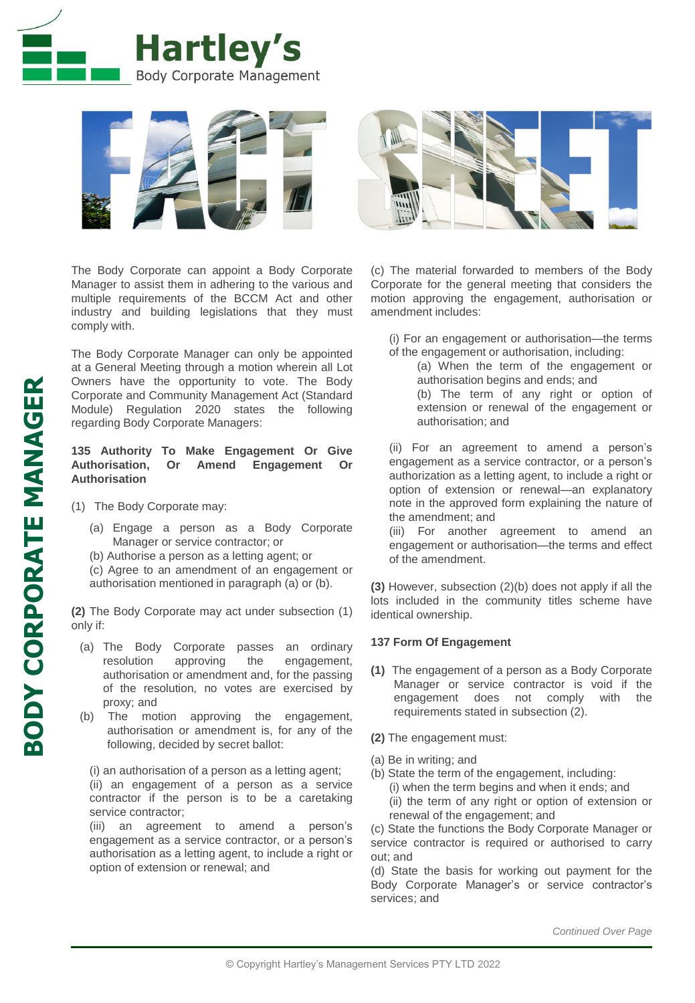



The Body Corporate can appoint a Body Corporate Manager to assist them in adhering to the various and multiple requirements of the BCCM Act and other industry and building legislations that they must comply with.

The Body Corporate Manager can only be appointed at a General Meeting through a motion wherein all Lot Owners have the opportunity to vote. The Body Corporate and Community Management Act (Standard Module) Regulation 2020 states the following regarding Body Corporate Managers:

# **135 Authority To Make Engagement Or Give Authorisation, Or Amend Engagement Or Authorisation**

(1) The Body Corporate may:

(a) Engage a person as a Body Corporate Manager or service contractor; or

(b) Authorise a person as a letting agent; or (c) Agree to an amendment of an engagement or

authorisation mentioned in paragraph (a) or (b).

**(2)** The Body Corporate may act under subsection (1) only if:

- (a) The Body Corporate passes an ordinary resolution approving the engagement, authorisation or amendment and, for the passing of the resolution, no votes are exercised by proxy; and
- (b) The motion approving the engagement, authorisation or amendment is, for any of the following, decided by secret ballot:

(i) an authorisation of a person as a letting agent; (ii) an engagement of a person as a service contractor if the person is to be a caretaking service contractor;

(iii) an agreement to amend a person's engagement as a service contractor, or a person's authorisation as a letting agent, to include a right or option of extension or renewal; and

(c) The material forwarded to members of the Body Corporate for the general meeting that considers the motion approving the engagement, authorisation or amendment includes:

(i) For an engagement or authorisation—the terms of the engagement or authorisation, including:

(a) When the term of the engagement or authorisation begins and ends; and

(b) The term of any right or option of extension or renewal of the engagement or authorisation; and

(ii) For an agreement to amend a person's engagement as a service contractor, or a person's authorization as a letting agent, to include a right or option of extension or renewal—an explanatory note in the approved form explaining the nature of the amendment; and

(iii) For another agreement to amend an engagement or authorisation—the terms and effect of the amendment.

**(3)** However, subsection (2)(b) does not apply if all the lots included in the community titles scheme have identical ownership.

# **137 Form Of Engagement**

- **(1)** The engagement of a person as a Body Corporate Manager or service contractor is void if the engagement does not comply with the requirements stated in subsection (2).
- **(2)** The engagement must:
- (a) Be in writing; and
- (b) State the term of the engagement, including: (i) when the term begins and when it ends; and (ii) the term of any right or option of extension or renewal of the engagement; and

(c) State the functions the Body Corporate Manager or service contractor is required or authorised to carry out; and

(d) State the basis for working out payment for the Body Corporate Manager's or service contractor's services; and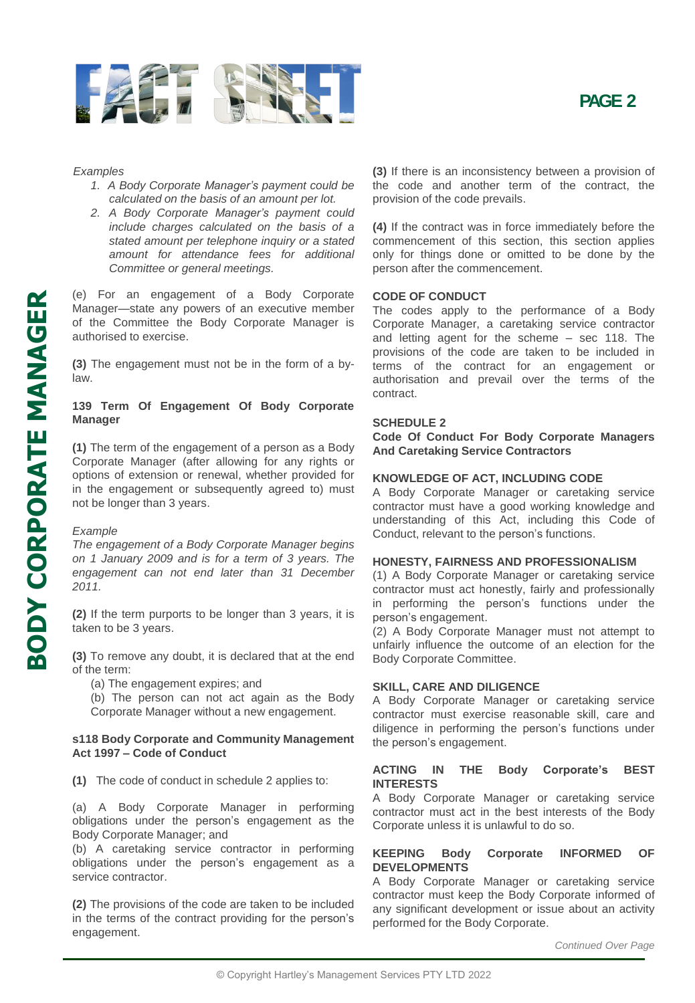



#### *Examples*

- *1. A Body Corporate Manager's payment could be calculated on the basis of an amount per lot.*
- *2. A Body Corporate Manager's payment could include charges calculated on the basis of a stated amount per telephone inquiry or a stated amount for attendance fees for additional Committee or general meetings .*

(e) For an engagement of a Body Corporate Manager —state any powers of an executive member of the Committee the Body Corporate Manager is authorised to exercise .

**( 3 )** The engagement must not be in the form of a by law .

# **139 Term Of Engagement Of Body Corporate Manager**

**(1)** The term of the engagement of a person as a Body Corporate Manager (after allowing for any rights or options of extension or renewal, whether provided for in the engagement or subsequently agreed to) must not be longer than 3 years .

#### *Example*

*The engagement of a Body Corporate Manager begins on 1 January 2009 and is for a term of 3 years . The engagement can not end later than 31 December 2011 .*

**( 2 )** If the term purports to be longer than 3 years, it is taken to be 3 years .

**( 3 )** To remove any doubt, it is declared that at the end of the term :

(a) The engagement expires ; and

(b) The person can not act again as the Body Corporate Manager without a new engagement .

### **s118 Body Corporate and Community Management Act 1997 – Code of Conduct**

**( 1 )** The code of conduct in schedule 2 applies to :

(a) A Body Corporate Manager in performing obligations under the person's engagement as the Body Corporate Manager ; and

(b) A caretaking service contractor in performing obligations under the person's engagement as a service contractor .

**( 2 )** The provisions of the code are taken to be included in the terms of the contract providing for the person's engagement .

**( 3 )** If there is an inconsistency between a provision of the code and another term of the contract, the provision of the code prevails .

**( 4 )** If the contract was in force immediately before the commencement of this section, this section applies only for things done or omitted to be done by the person after the commencement .

# **CODE OF CONDUCT**

The codes apply to the performance of a Body Corporate Manager, a caretaking service contractor and letting agent for the scheme – sec 118 . The provisions of the code are taken to be included in terms of the contract for an engagement or authorisation and prevail over the terms of the contract .

# **SCHEDULE 2**

**Code Of Conduct For Body Corporate Managers And Caretaking Service Contractors**

### **KNOWLEDGE OF ACT, INCLUDING CODE**

A Body Corporate Manager or caretaking service contractor must have a good working knowledge and understanding of this Act, including this Code of Conduct, relevant to the person's functions .

### **HONESTY, FAIRNESS AND PROFESSIONALISM**

(1) A Body Corporate Manager or caretaking service contractor must act honestly, fairly and professionally in performing the person's functions under the person's engagement .

( 2 ) A Body Corporate Manager must not attempt to unfairly influence the outcome of an election for the Body Corporate Committee .

### **SKILL, CARE AND DILIGENCE**

A Body Corporate Manager or caretaking service contractor must exercise reasonable skill, care and diligence in performing the person's functions under the person's engagement .

### **ACTING IN THE Body Corporate's BEST INTERESTS**

A Body Corporate Manager or caretaking service contractor must act in the best interests of the Body Corporate unless it is unlawful to do so .

### **KEEPING Body Corporate INFORMED OF DEVELOPMENTS**

A Body Corporate Manager or caretaking service contractor must keep the Body Corporate informed of any significant development or issue about an activity performed for the Body Corporate .